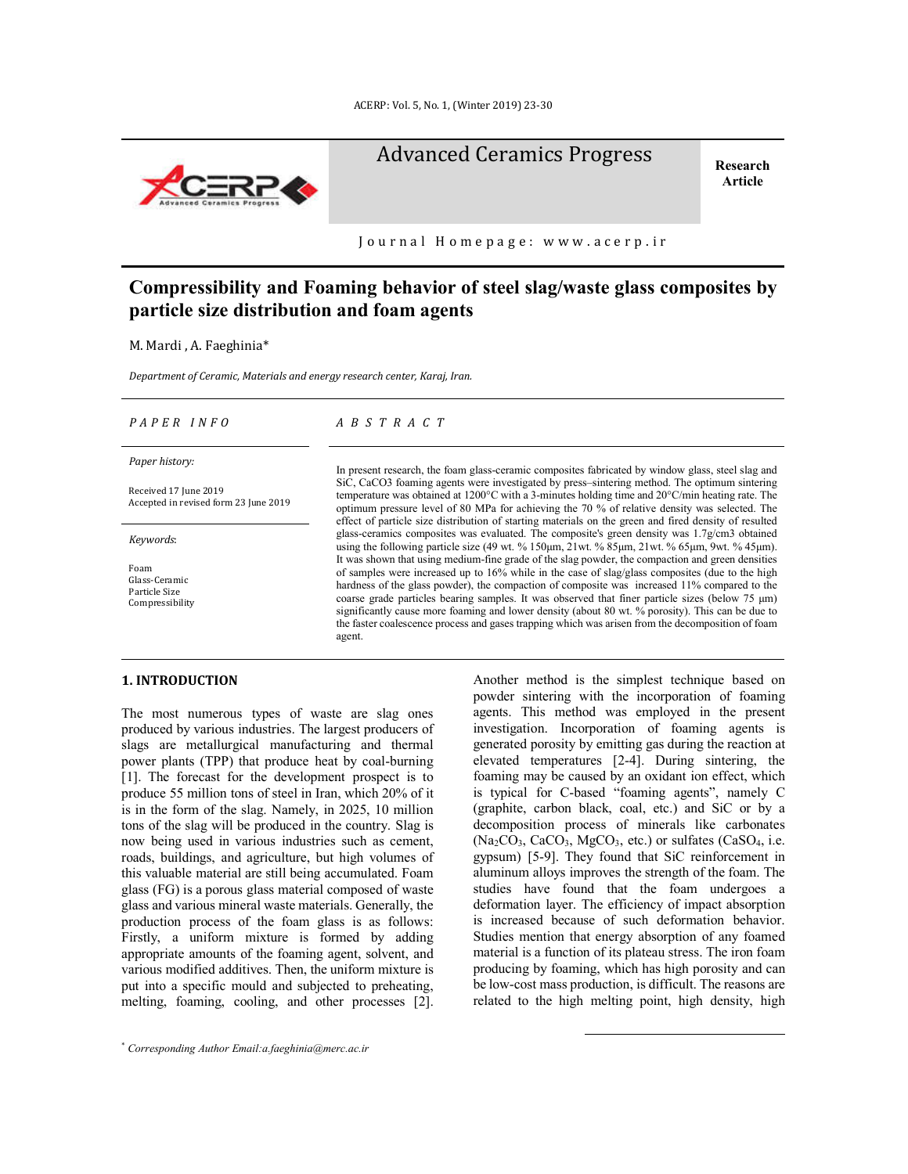

**Article**



Journal Homepage: www.acerp.ir

# **Compressibility and Foaming behavior of steel slag/waste glass composites by particle size distribution and foam agents**

M. Mardi , A. Faeghinia\*

*Department of Ceramic, Materials and energy research center, Karaj, Iran.*

#### *P A P E R I N F O A B S T R A C T*

*Paper history:*

Received 17 June 2019 Accepted in revised form 23 June 2019

*Keywords*:

Foam Glass-Ceramic Particle Size Compressibility In present research, the foam glass-ceramic composites fabricated by window glass, steel slag and SiC, CaCO3 foaming agents were investigated by press–sintering method. The optimum sintering temperature was obtained at 1200°C with a 3-minutes holding time and 20°C/min heating rate. The optimum pressure level of 80 MPa for achieving the 70 % of relative density was selected. The effect of particle size distribution of starting materials on the green and fired density of resulted glass-ceramics composites was evaluated. The composite's green density was 1.7g/cm3 obtained using the following particle size (49 wt. % 150μm, 21wt. % 85μm, 21wt. % 65μm, 9wt. % 45μm). It was shown that using medium-fine grade of the slag powder, the compaction and green densities of samples were increased up to 16% while in the case of slag/glass composites (due to the high hardness of the glass powder), the compaction of composite was increased 11% compared to the coarse grade particles bearing samples. It was observed that finer particle sizes (below 75 μm) significantly cause more foaming and lower density (about 80 wt. % porosity). This can be due to the faster coalescence process and gases trapping which was arisen from the decomposition of foam agent.

## **1. INTRODUCTION\***

The most numerous types of waste are slag ones produced by various industries. The largest producers of slags are metallurgical manufacturing and thermal power plants (TPP) that produce heat by coal-burning [1]. The forecast for the development prospect is to produce 55 million tons of steel in Iran, which 20% of it is in the form of the slag. Namely, in 2025, 10 million tons of the slag will be produced in the country. Slag is now being used in various industries such as cement, roads, buildings, and agriculture, but high volumes of this valuable material are still being accumulated. Foam glass (FG) is a porous glass material composed of waste glass and various mineral waste materials. Generally, the production process of the foam glass is as follows: Firstly, a uniform mixture is formed by adding appropriate amounts of the foaming agent, solvent, and various modified additives. Then, the uniform mixture is put into a specific mould and subjected to preheating, melting, foaming, cooling, and other processes [2].

Another method is the simplest technique based on powder sintering with the incorporation of foaming agents. This method was employed in the present investigation. Incorporation of foaming agents is generated porosity by emitting gas during the reaction at elevated temperatures [2-4]. During sintering, the foaming may be caused by an oxidant ion effect, which is typical for C-based "foaming agents", namely C (graphite, carbon black, coal, etc.) and SiC or by a decomposition process of minerals like carbonates  $(Na_2CO_3, CaCO_3, MgCO_3, etc.)$  or sulfates  $(CaSO_4, i.e.$ gypsum) [5-9]. They found that SiC reinforcement in aluminum alloys improves the strength of the foam. The studies have found that the foam undergoes a deformation layer. The efficiency of impact absorption is increased because of such deformation behavior. Studies mention that energy absorption of any foamed material is a function of its plateau stress. The iron foam producing by foaming, which has high porosity and can be low-cost mass production, is difficult. The reasons are related to the high melting point, high density, high

 $\overline{a}$ 

<sup>\*</sup> *Corresponding Author Email:a.faeghinia@merc.ac.ir*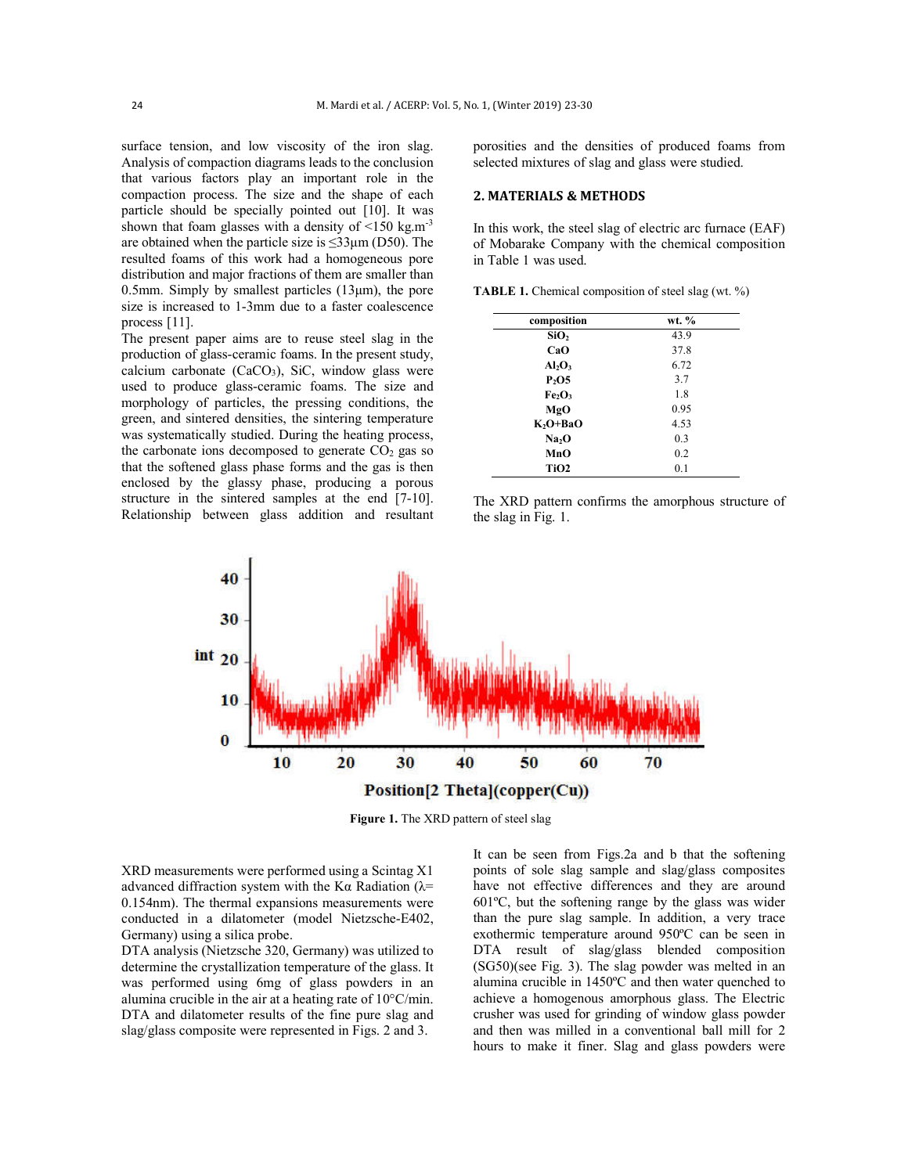surface tension, and low viscosity of the iron slag. Analysis of compaction diagrams leads to the conclusion that various factors play an important role in the compaction process. The size and the shape of each particle should be specially pointed out [10]. It was shown that foam glasses with a density of  $\leq 150$  kg.m<sup>-3</sup> are obtained when the particle size is  $\leq 33 \mu m$  (D50). The resulted foams of this work had a homogeneous pore distribution and major fractions of them are smaller than 0.5mm. Simply by smallest particles  $(13µm)$ , the pore size is increased to 1-3mm due to a faster coalescence process [11].

The present paper aims are to reuse steel slag in the production of glass-ceramic foams. In the present study, calcium carbonate  $(CaCO<sub>3</sub>)$ , SiC, window glass were used to produce glass-ceramic foams. The size and morphology of particles, the pressing conditions, the green, and sintered densities, the sintering temperature was systematically studied. During the heating process, the carbonate ions decomposed to generate  $CO<sub>2</sub>$  gas so that the softened glass phase forms and the gas is then enclosed by the glassy phase, producing a porous structure in the sintered samples at the end [7-10]. Relationship between glass addition and resultant porosities and the densities of produced foams from selected mixtures of slag and glass were studied.

## **2. MATERIALS & METHODS**

In this work, the steel slag of electric arc furnace (EAF) of Mobarake Company with the chemical composition in Table 1 was used.

**TABLE 1.** Chemical composition of steel slag (wt. %)

| composition                    | wt. % |
|--------------------------------|-------|
| SiO <sub>2</sub>               | 43.9  |
| CaO                            | 37.8  |
| $Al_2O_3$                      | 6.72  |
| P <sub>2</sub> O5              | 3.7   |
| Fe <sub>2</sub> O <sub>3</sub> | 1.8   |
| MgO                            | 0.95  |
| $K_2O+BaO$                     | 4.53  |
| Na <sub>2</sub> O              | 0.3   |
| MnO                            | 0.2   |
| TiO <sub>2</sub>               | 0.1   |
|                                |       |

The XRD pattern confirms the amorphous structure of the slag in Fig. 1.



**Figure 1.** The XRD pattern of steel slag

XRD measurements were performed using a Scintag X1 advanced diffraction system with the K $\alpha$  Radiation ( $\lambda$ = 0.154nm). The thermal expansions measurements were conducted in a dilatometer (model Nietzsche-E402, Germany) using a silica probe.

DTA analysis (Nietzsche 320, Germany) was utilized to determine the crystallization temperature of the glass. It was performed using 6mg of glass powders in an alumina crucible in the air at a heating rate of 10°C/min. DTA and dilatometer results of the fine pure slag and slag/glass composite were represented in Figs. 2 and 3.

It can be seen from Figs.2a and b that the softening points of sole slag sample and slag/glass composites have not effective differences and they are around 601ºC, but the softening range by the glass was wider than the pure slag sample. In addition, a very trace exothermic temperature around 950ºC can be seen in DTA result of slag/glass blended composition (SG50)(see Fig. 3). The slag powder was melted in an alumina crucible in 1450ºC and then water quenched to achieve a homogenous amorphous glass. The Electric crusher was used for grinding of window glass powder and then was milled in a conventional ball mill for 2 hours to make it finer. Slag and glass powders were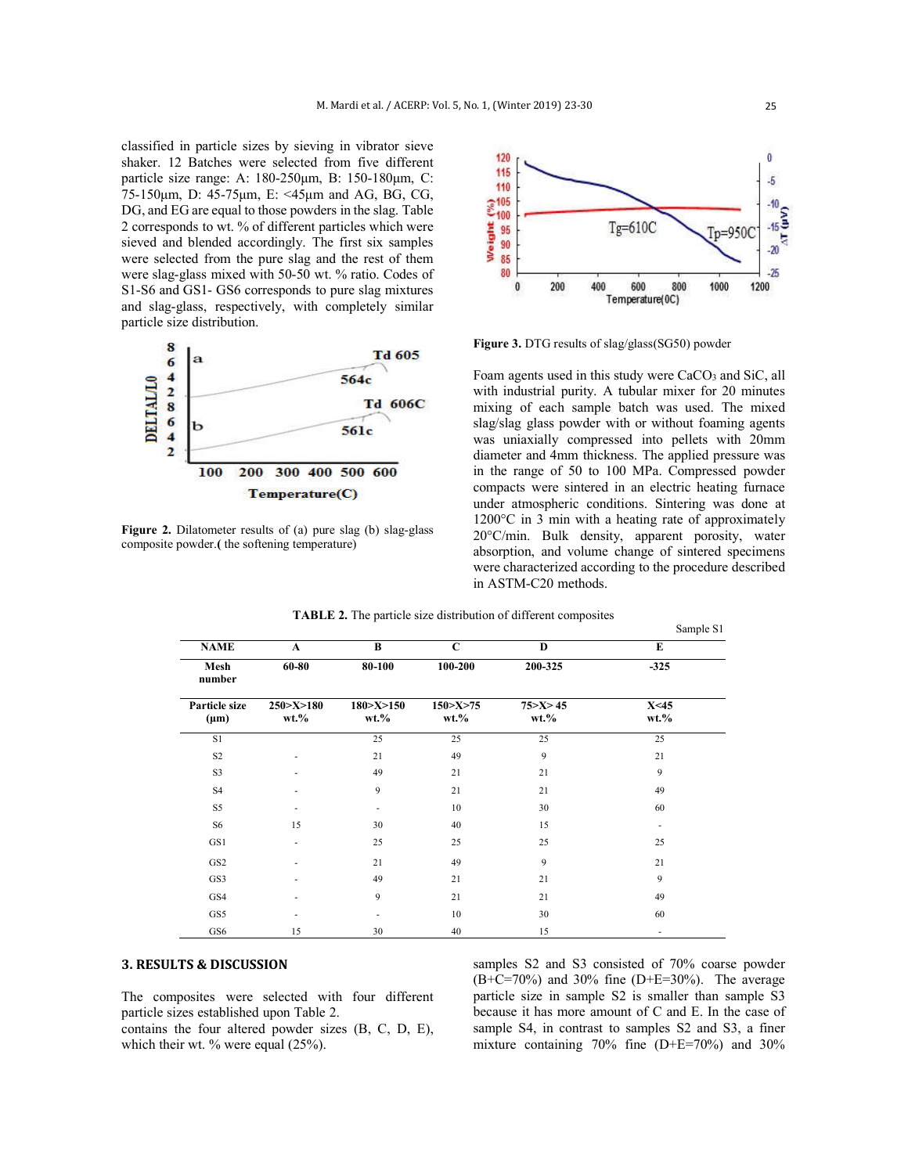classified in particle sizes by sieving in vibrator sieve shaker. 12 Batches were selected from five different particle size range: A: 180-250μm, B: 150-180μm, C: 75-150μm, D: 45-75μm, E: <45μm and AG, BG, CG, DG, and EG are equal to those powders in the slag. Table 2 corresponds to wt. % of different particles which were sieved and blended accordingly. The first six samples were selected from the pure slag and the rest of them were slag-glass mixed with 50-50 wt. % ratio. Codes of S1-S6 and GS1- GS6 corresponds to pure slag mixtures and slag-glass, respectively, with completely similar particle size distribution.



**Figure 2.** Dilatometer results of (a) pure slag (b) slag-glass composite powder.**(** the softening temperature)



**Figure 3.** DTG results of slag/glass(SG50) powder

Foam agents used in this study were CaCO<sub>3</sub> and SiC, all with industrial purity. A tubular mixer for 20 minutes mixing of each sample batch was used. The mixed slag/slag glass powder with or without foaming agents was uniaxially compressed into pellets with 20mm diameter and 4mm thickness. The applied pressure was in the range of 50 to 100 MPa. Compressed powder compacts were sintered in an electric heating furnace under atmospheric conditions. Sintering was done at 1200°C in 3 min with a heating rate of approximately 20°C/min. Bulk density, apparent porosity, water absorption, and volume change of sintered specimens were characterized according to the procedure described in ASTM-C20 methods.

Sample S1

| <b>NAME</b>                | $\mathbf{A}$              | B                         | $\mathbf C$              | $\bf{D}$                | E                |  |
|----------------------------|---------------------------|---------------------------|--------------------------|-------------------------|------------------|--|
| Mesh<br>number             | 60-80                     | 80-100                    | 100-200                  | 200-325                 | $-325$           |  |
| Particle size<br>$(\mu m)$ | 250 > X > 180<br>$wt. \%$ | 180 > X > 150<br>$wt. \%$ | 150 > X > 75<br>$wt. \%$ | 75 > X > 45<br>$wt. \%$ | X<45<br>$wt. \%$ |  |
| S1                         |                           | 25                        | 25                       | 25                      | 25               |  |
| S <sub>2</sub>             |                           | 21                        | 49                       | 9                       | 21               |  |
| S <sub>3</sub>             |                           | 49                        | 21                       | 21                      | 9                |  |
| S <sub>4</sub>             |                           | 9                         | 21                       | 21                      | 49               |  |
| S5                         |                           | ۰                         | 10                       | 30                      | 60               |  |
| S <sub>6</sub>             | 15                        | 30                        | 40                       | 15                      | ۰                |  |
| GS1                        |                           | 25                        | 25                       | 25                      | 25               |  |
| GS <sub>2</sub>            |                           | 21                        | 49                       | 9                       | 21               |  |
| GS3                        |                           | 49                        | 21                       | 21                      | 9                |  |
| GS4                        |                           | 9                         | 21                       | 21                      | 49               |  |
| GS5                        |                           | ۰                         | 10                       | 30                      | 60               |  |
| GS6                        | 15                        | 30                        | 40                       | 15                      | ٠                |  |

**TABLE 2.** The particle size distribution of different composites

# **3. RESULTS & DISCUSSION**

The composites were selected with four different particle sizes established upon Table 2.

contains the four altered powder sizes (B, C, D, E), which their wt. % were equal (25%).

samples S2 and S3 consisted of 70% coarse powder  $(B+C=70%)$  and 30% fine (D+E=30%). The average particle size in sample S2 is smaller than sample S3 because it has more amount of C and E. In the case of sample S4, in contrast to samples S2 and S3, a finer mixture containing 70% fine (D+E=70%) and 30%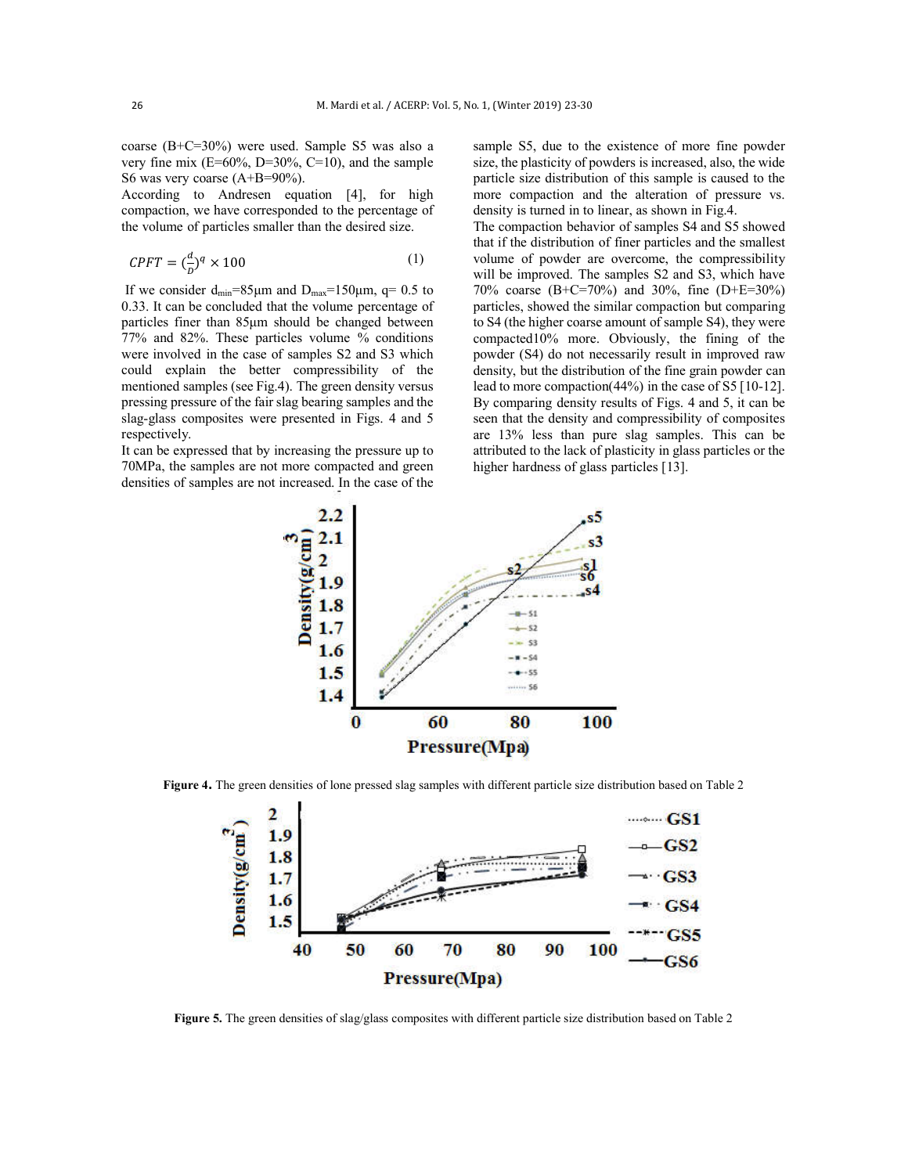coarse (B+C=30%) were used. Sample S5 was also a very fine mix  $(E=60\%, D=30\%, C=10)$ , and the sample S6 was very coarse (A+B=90%).

According to Andresen equation [4], for high compaction, we have corresponded to the percentage of the volume of particles smaller than the desired size.

$$
CPFT = \left(\frac{d}{D}\right)^q \times 100\tag{1}
$$

If we consider  $d_{\text{min}}=85\mu m$  and  $D_{\text{max}}=150\mu m$ , q= 0.5 to 0.33. It can be concluded that the volume percentage of particles finer than 85μm should be changed between 77% and 82%. These particles volume % conditions were involved in the case of samples S2 and S3 which could explain the better compressibility of the mentioned samples (see Fig.4). The green density versus pressing pressure of the fair slag bearing samples and the slag-glass composites were presented in Figs. 4 and 5 respectively.

It can be expressed that by increasing the pressure up to 70MPa, the samples are not more compacted and green densities of samples are not increased. In the case of the sample S5, due to the existence of more fine powder size, the plasticity of powders is increased, also, the wide particle size distribution of this sample is caused to the more compaction and the alteration of pressure vs. density is turned in to linear, as shown in Fig.4.

The compaction behavior of samples S4 and S5 showed that if the distribution of finer particles and the smallest volume of powder are overcome, the compressibility will be improved. The samples S2 and S3, which have 70% coarse (B+C=70%) and 30%, fine (D+E=30%) particles, showed the similar compaction but comparing to S4 (the higher coarse amount of sample S4), they were compacted10% more. Obviously, the fining of the powder (S4) do not necessarily result in improved raw density, but the distribution of the fine grain powder can lead to more compaction(44%) in the case of S5 [10-12]. By comparing density results of Figs. 4 and 5, it can be seen that the density and compressibility of composites are 13% less than pure slag samples. This can be attributed to the lack of plasticity in glass particles or the higher hardness of glass particles [13].



**Figure 4.** The green densities of lone pressed slag samples with different particle size distribution based on Table 2



**Figure 5.** The green densities of slag/glass composites with different particle size distribution based on Table 2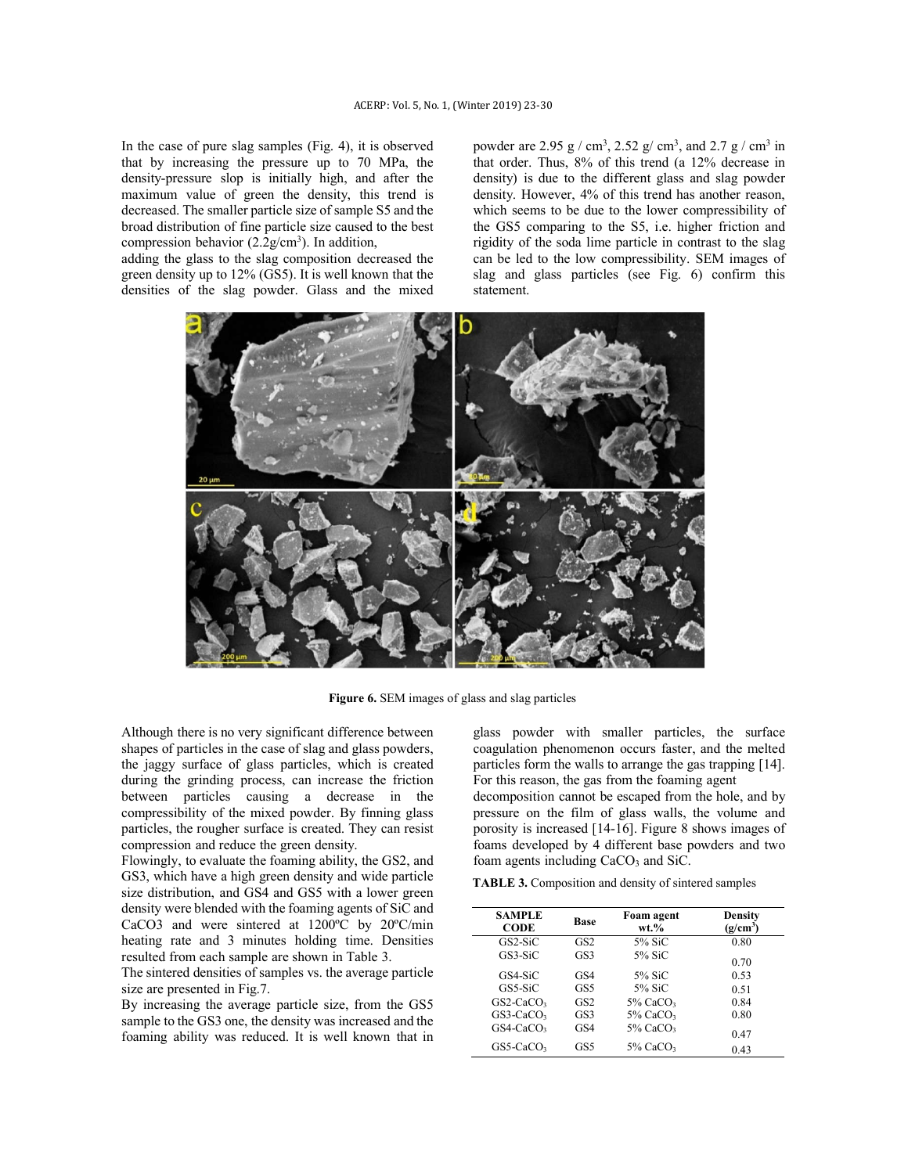In the case of pure slag samples (Fig. 4), it is observed that by increasing the pressure up to 70 MPa, the density-pressure slop is initially high, and after the maximum value of green the density, this trend is decreased. The smaller particle size of sample S5 and the broad distribution of fine particle size caused to the best compression behavior  $(2.2g/cm<sup>3</sup>)$ . In addition,

adding the glass to the slag composition decreased the green density up to 12% (GS5). It is well known that the densities of the slag powder. Glass and the mixed

powder are 2.95  $g / cm^3$ , 2.52  $g / cm^3$ , and 2.7  $g / cm^3$  in that order. Thus, 8% of this trend (a 12% decrease in density) is due to the different glass and slag powder density. However, 4% of this trend has another reason, which seems to be due to the lower compressibility of the GS5 comparing to the S5, i.e. higher friction and rigidity of the soda lime particle in contrast to the slag can be led to the low compressibility. SEM images of slag and glass particles (see Fig. 6) confirm this statement.



**Figure 6.** SEM images of glass and slag particles

Although there is no very significant difference between shapes of particles in the case of slag and glass powders, the jaggy surface of glass particles, which is created during the grinding process, can increase the friction between particles causing a decrease in the compressibility of the mixed powder. By finning glass particles, the rougher surface is created. They can resist compression and reduce the green density.

Flowingly, to evaluate the foaming ability, the GS2, and GS3, which have a high green density and wide particle size distribution, and GS4 and GS5 with a lower green density were blended with the foaming agents of SiC and CaCO3 and were sintered at 1200ºC by 20ºC/min heating rate and 3 minutes holding time. Densities resulted from each sample are shown in Table 3.

The sintered densities of samples vs. the average particle size are presented in Fig.7.

By increasing the average particle size, from the GS5 sample to the GS3 one, the density was increased and the foaming ability was reduced. It is well known that in

glass powder with smaller particles, the surface coagulation phenomenon occurs faster, and the melted particles form the walls to arrange the gas trapping [14]. For this reason, the gas from the foaming agent

decomposition cannot be escaped from the hole, and by pressure on the film of glass walls, the volume and porosity is increased [14-16]. Figure 8 shows images of foams developed by 4 different base powders and two foam agents including CaCO<sub>3</sub> and SiC.

**TABLE 3.** Composition and density of sintered samples

| <b>SAMPLE</b><br><b>CODE</b> | Base            | Foam agent<br>$wt. \%$  | Density<br>(g/cm <sup>3</sup> ) |
|------------------------------|-----------------|-------------------------|---------------------------------|
| $GS2-SiC$                    | GS <sub>2</sub> | 5% SiC                  | 0.80                            |
| $GS3-SiC$                    | GS3             | 5% SiC                  | 0.70                            |
| GS4-SiC                      | GS4             | 5% SiC                  | 0.53                            |
| GS5-SiC                      | GS5             | 5% SiC                  | 0.51                            |
| $GS2-CaCO3$                  | GS <sub>2</sub> | $5\%$ CaCO <sub>3</sub> | 0.84                            |
| $GS3-CaCO3$                  | GS3             | $5\%$ CaCO <sub>3</sub> | 0.80                            |
| $GS4$ -CaCO <sub>3</sub>     | GS4             | $5\%$ CaCO <sub>3</sub> | 0.47                            |
| $GS5-CaCO3$                  | GS5             | $5\%$ CaCO <sub>3</sub> | 0.43                            |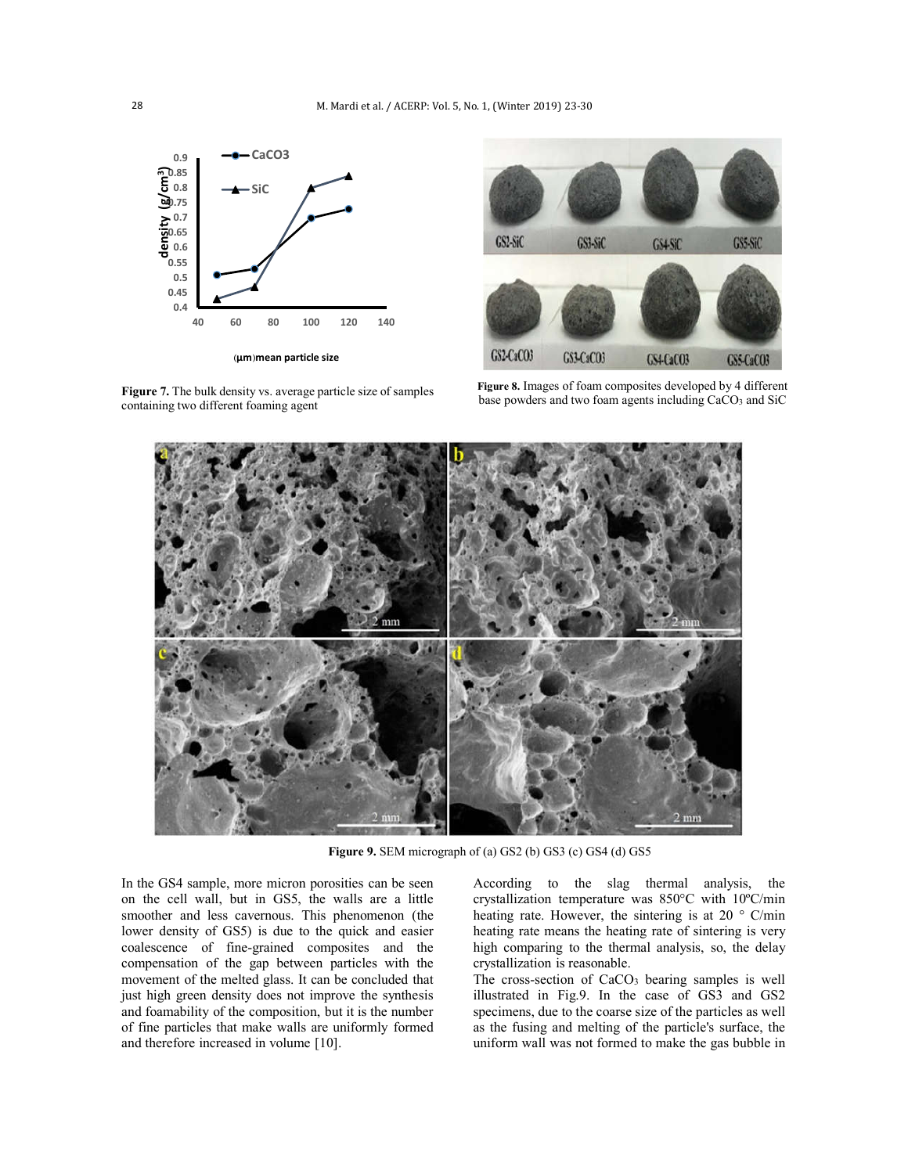

**Figure 7.** The bulk density vs. average particle size of samples containing two different foaming agent



**Figure 8.** Images of foam composites developed by 4 different base powders and two foam agents including CaCO3 and SiC



**Figure 9.** SEM micrograph of (a) GS2 (b) GS3 (c) GS4 (d) GS5

In the GS4 sample, more micron porosities can be seen on the cell wall, but in GS5, the walls are a little smoother and less cavernous. This phenomenon (the lower density of GS5) is due to the quick and easier coalescence of fine-grained composites and the compensation of the gap between particles with the movement of the melted glass. It can be concluded that just high green density does not improve the synthesis and foamability of the composition, but it is the number of fine particles that make walls are uniformly formed and therefore increased in volume [10].

According to the slag thermal analysis, the crystallization temperature was 850°C with 10ºC/min heating rate. However, the sintering is at 20  $\degree$  C/min heating rate means the heating rate of sintering is very high comparing to the thermal analysis, so, the delay crystallization is reasonable.

The cross-section of CaCO<sub>3</sub> bearing samples is well illustrated in Fig.9. In the case of GS3 and GS2 specimens, due to the coarse size of the particles as well as the fusing and melting of the particle's surface, the uniform wall was not formed to make the gas bubble in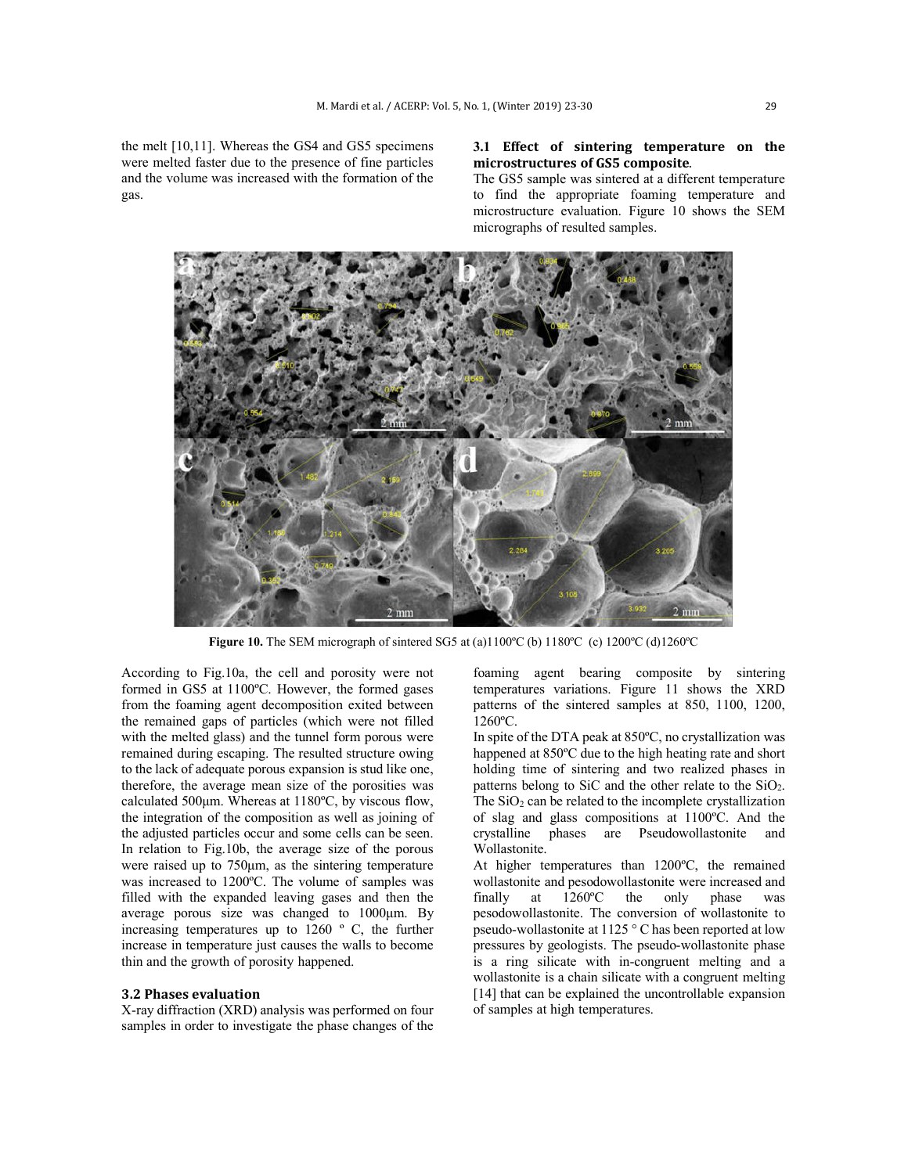the melt [10,11]. Whereas the GS4 and GS5 specimens were melted faster due to the presence of fine particles and the volume was increased with the formation of the gas.

# **3.1 Effect of sintering temperature on the microstructures of GS5 composite**.

The GS5 sample was sintered at a different temperature to find the appropriate foaming temperature and microstructure evaluation. Figure 10 shows the SEM micrographs of resulted samples.



**Figure 10.** The SEM micrograph of sintered SG5 at (a)1100°C (b) 1180°C (c) 1200°C (d)1260°C

According to Fig.10a, the cell and porosity were not formed in GS5 at 1100ºC. However, the formed gases from the foaming agent decomposition exited between the remained gaps of particles (which were not filled with the melted glass) and the tunnel form porous were remained during escaping. The resulted structure owing to the lack of adequate porous expansion is stud like one, therefore, the average mean size of the porosities was calculated 500μm. Whereas at 1180ºC, by viscous flow, the integration of the composition as well as joining of the adjusted particles occur and some cells can be seen. In relation to Fig.10b, the average size of the porous were raised up to 750μm, as the sintering temperature was increased to 1200ºC. The volume of samples was filled with the expanded leaving gases and then the average porous size was changed to 1000μm. By increasing temperatures up to 1260 º C, the further increase in temperature just causes the walls to become thin and the growth of porosity happened.

# **3.2 Phases evaluation**

X-ray diffraction (XRD) analysis was performed on four samples in order to investigate the phase changes of the foaming agent bearing composite by sintering temperatures variations. Figure 11 shows the XRD patterns of the sintered samples at 850, 1100, 1200, 1260ºC.

In spite of the DTA peak at 850ºC, no crystallization was happened at 850ºC due to the high heating rate and short holding time of sintering and two realized phases in patterns belong to SiC and the other relate to the  $SiO<sub>2</sub>$ . The  $SiO<sub>2</sub>$  can be related to the incomplete crystallization of slag and glass compositions at 1100ºC. And the crystalline phases are Pseudowollastonite and Wollastonite.

At higher temperatures than 1200ºC, the remained wollastonite and pesodowollastonite were increased and finally at 1260ºC the only phase was pesodowollastonite. The conversion of wollastonite to pseudo-wollastonite at 1125 ° C has been reported at low pressures by geologists. The pseudo-wollastonite phase is a ring silicate with in-congruent melting and a wollastonite is a chain silicate with a congruent melting [14] that can be explained the uncontrollable expansion of samples at high temperatures.